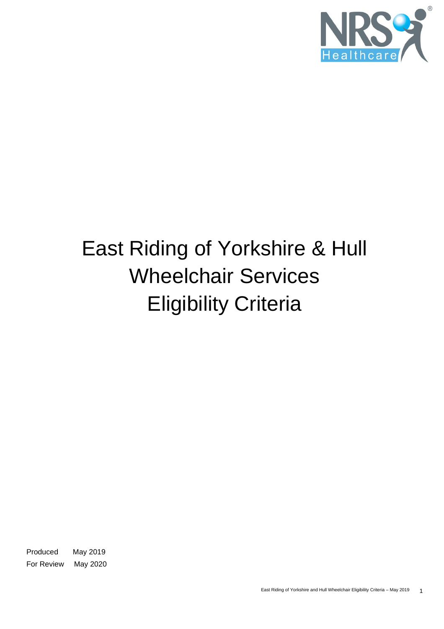

# East Riding of Yorkshire & Hull Wheelchair Services Eligibility Criteria

Produced May 2019 For Review May 2020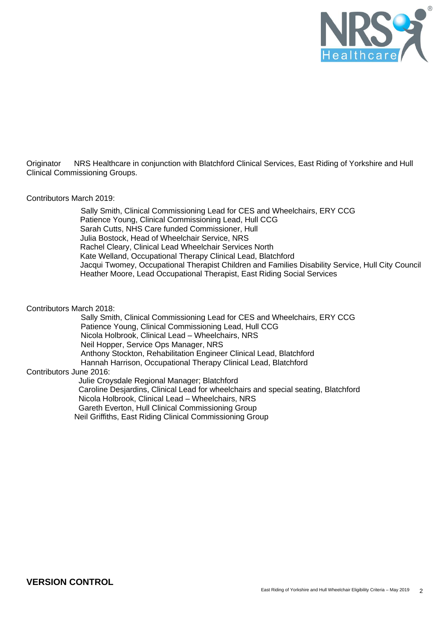

Originator NRS Healthcare in conjunction with Blatchford Clinical Services, East Riding of Yorkshire and Hull Clinical Commissioning Groups.

#### Contributors March 2019:

 Sally Smith, Clinical Commissioning Lead for CES and Wheelchairs, ERY CCG Patience Young, Clinical Commissioning Lead, Hull CCG Sarah Cutts, NHS Care funded Commissioner, Hull Julia Bostock, Head of Wheelchair Service, NRS Rachel Cleary, Clinical Lead Wheelchair Services North Kate Welland, Occupational Therapy Clinical Lead, Blatchford Jacqui Twomey, Occupational Therapist Children and Families Disability Service, Hull City Council Heather Moore, Lead Occupational Therapist, East Riding Social Services

#### Contributors March 2018:

 Sally Smith, Clinical Commissioning Lead for CES and Wheelchairs, ERY CCG Patience Young, Clinical Commissioning Lead, Hull CCG Nicola Holbrook, Clinical Lead – Wheelchairs, NRS Neil Hopper, Service Ops Manager, NRS Anthony Stockton, Rehabilitation Engineer Clinical Lead, Blatchford Hannah Harrison, Occupational Therapy Clinical Lead, Blatchford Contributors June 2016: Julie Croysdale Regional Manager; Blatchford Caroline Desjardins, Clinical Lead for wheelchairs and special seating, Blatchford Nicola Holbrook, Clinical Lead – Wheelchairs, NRS Gareth Everton, Hull Clinical Commissioning Group

Neil Griffiths, East Riding Clinical Commissioning Group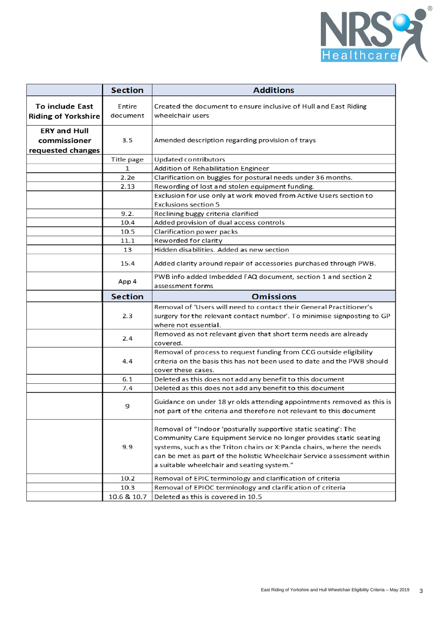

|                                                          | <b>Section</b>                     | <b>Additions</b>                                                                                                                                                                                                                                                                                                                       |  |
|----------------------------------------------------------|------------------------------------|----------------------------------------------------------------------------------------------------------------------------------------------------------------------------------------------------------------------------------------------------------------------------------------------------------------------------------------|--|
| <b>To include East</b><br><b>Riding of Yorkshire</b>     | Entire<br>document                 | Created the document to ensure inclusive of Hull and East Riding<br>wheelchair users                                                                                                                                                                                                                                                   |  |
| <b>ERY and Hull</b><br>commissioner<br>requested changes | 3.5                                | Amended description regarding provision of trays                                                                                                                                                                                                                                                                                       |  |
|                                                          | Title page                         | Updated contributors                                                                                                                                                                                                                                                                                                                   |  |
|                                                          | 1                                  | Addition of Rehabilitation Engineer                                                                                                                                                                                                                                                                                                    |  |
|                                                          | 2.2e                               | Clarification on buggies for postural needs under 36 months.                                                                                                                                                                                                                                                                           |  |
|                                                          | 2.13                               | Rewording of lost and stolen equipment funding.                                                                                                                                                                                                                                                                                        |  |
|                                                          |                                    | Exclusion for use only at work moved from Active Users section to<br><b>Exclusions section 5</b>                                                                                                                                                                                                                                       |  |
|                                                          | 9.2.                               | Reclining buggy criteria clarified                                                                                                                                                                                                                                                                                                     |  |
|                                                          | 10.4                               | Added provision of dual access controls                                                                                                                                                                                                                                                                                                |  |
|                                                          | 10.5                               | Clarification power packs                                                                                                                                                                                                                                                                                                              |  |
|                                                          | 11.1                               | Reworded for clarity                                                                                                                                                                                                                                                                                                                   |  |
|                                                          | 13                                 | Hidden disabilities. Added as new section                                                                                                                                                                                                                                                                                              |  |
|                                                          | 15.4                               | Added clarity around repair of accessories purchased through PWB.                                                                                                                                                                                                                                                                      |  |
|                                                          | App 4                              | PWB info added Imbedded FAQ document, section 1 and section 2<br>assessment forms                                                                                                                                                                                                                                                      |  |
|                                                          | <b>Omissions</b><br><b>Section</b> |                                                                                                                                                                                                                                                                                                                                        |  |
|                                                          |                                    | Removal of 'Users will need to contact their General Practitioner's                                                                                                                                                                                                                                                                    |  |
|                                                          | 2.3                                | surgery for the relevant contact number'. To minimise signposting to GP<br>where not essential.                                                                                                                                                                                                                                        |  |
|                                                          | 2.4                                | Removed as not relevant given that short term needs are already<br>covered.                                                                                                                                                                                                                                                            |  |
|                                                          | 4.4                                | Removal of process to request funding from CCG outside eligibility<br>criteria on the basis this has not been used to date and the PWB should<br>cover these cases.                                                                                                                                                                    |  |
|                                                          | 6.1                                | Deleted as this does not add any benefit to this document                                                                                                                                                                                                                                                                              |  |
|                                                          | 7.4                                | Deleted as this does not add any benefit to this document                                                                                                                                                                                                                                                                              |  |
|                                                          | 9                                  | Guidance on under 18 yr olds attending appointments removed as this is<br>not part of the criteria and therefore not relevant to this document                                                                                                                                                                                         |  |
|                                                          | 9.9                                | Removal of "Indoor 'posturally supportive static seating': The<br>Community Care Equipment Service no longer provides static seating<br>systems, such as the Triton chairs or X:Panda chairs, where the needs<br>can be met as part of the holistic Wheelchair Service assessment within<br>a suitable wheelchair and seating system." |  |
|                                                          | 10.2                               | Removal of EPIC terminology and clarification of criteria                                                                                                                                                                                                                                                                              |  |
|                                                          | 10.3                               | Removal of EPIOC terminology and clarification of criteria                                                                                                                                                                                                                                                                             |  |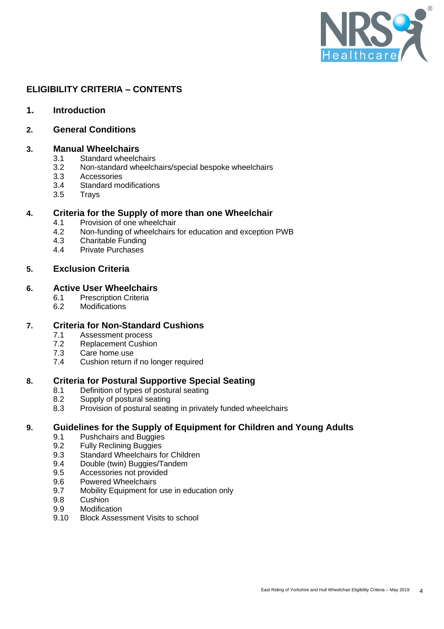

# **ELIGIBILITY CRITERIA – CONTENTS**

- **1. Introduction**
- **2. General Conditions**

# **3. Manual Wheelchairs**

- 3.1 Standard wheelchairs<br>3.2 Non-standard wheelch
- 3.2 Non-standard wheelchairs/special bespoke wheelchairs<br>3.3 Accessories
- 3.3 Accessories<br>3.4 Standard mo
- Standard modifications
- 3.5 Trays

# **4. Criteria for the Supply of more than one Wheelchair**

- 4.1 Provision of one wheelchair
- 4.2 Non-funding of wheelchairs for education and exception PWB<br>4.3 Charitable Funding
- 4.3 Charitable Funding<br>4.4 Private Purchases
- 4.4 Private Purchases

# **5. Exclusion Criteria**

# **6. Active User Wheelchairs**

- 6.1 Prescription Criteria<br>6.2 Modifications
- **Modifications**

# **7. Criteria for Non-Standard Cushions**

- 7.1 Assessment process<br>7.2 Replacement Cushior
- **Replacement Cushion**
- 7.3 Care home use
- 7.4 Cushion return if no longer required

# **8. Criteria for Postural Supportive Special Seating**

- 8.1 Definition of types of postural seating
- 8.2 Supply of postural seating<br>8.3 Provision of postural seating
- Provision of postural seating in privately funded wheelchairs

# **9. Guidelines for the Supply of Equipment for Children and Young Adults**

- 9.1 Pushchairs and Buggies
- 9.2 Fully Reclining Buggies
- 9.3 Standard Wheelchairs for Children
- 9.4 Double (twin) Buggies/Tandem
- 9.5 Accessories not provided
- 9.6 Powered Wheelchairs
- 9.7 Mobility Equipment for use in education only
- 9.8 Cushion
- 9.9 Modification
- 9.10 Block Assessment Visits to school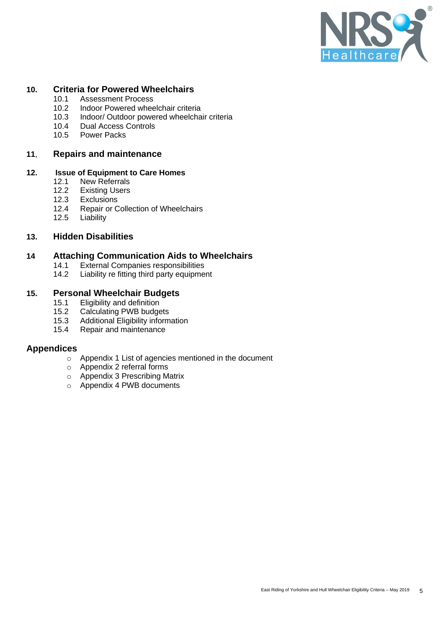

# **10. Criteria for Powered Wheelchairs**

- 10.1 Assessment Process<br>10.2 Indoor Powered whee
- Indoor Powered wheelchair criteria
- 10.3 Indoor/ Outdoor powered wheelchair criteria<br>10.4 Dual Access Controls
- 10.4 Dual Access Controls<br>10.5 Power Packs
- Power Packs

# **11**, **Repairs and maintenance**

# **12. Issue of Equipment to Care Homes**

- **New Referrals**
- 12.2 Existing Users
- 12.3 Exclusions<br>12.4 Repair or C
- 12.4 Repair or Collection of Wheelchairs<br>12.5 Liability
- Liability

# **13. Hidden Disabilities**

# **14 Attaching Communication Aids to Wheelchairs**<br>14.1 External Companies responsibilities

- 14.1 External Companies responsibilities<br>14.2 Liability re fitting third party equipme
- Liability re fitting third party equipment

# **15. Personal Wheelchair Budgets**

- 15.1 Eligibility and definition<br>15.2 Calculating PWB budge
- Calculating PWB budgets
- 15.3 Additional Eligibility information
- 15.4 Repair and maintenance

# **Appendices**

- o Appendix 1 List of agencies mentioned in the document
- o Appendix 2 referral forms
- o Appendix 3 Prescribing Matrix
- o Appendix 4 PWB documents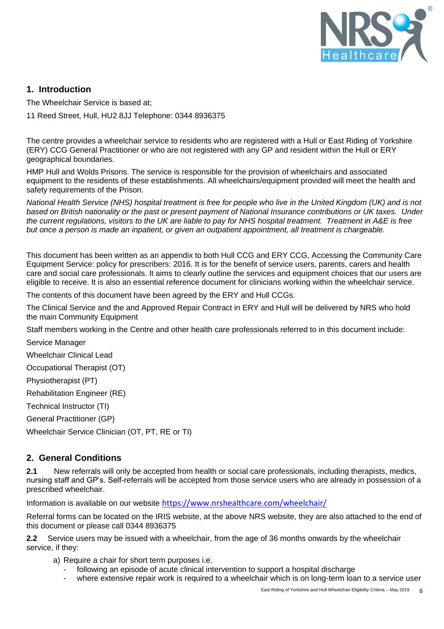

# **1. Introduction**

The Wheelchair Service is based at;

11 Reed Street, Hull, HU2 8JJ Telephone: 0344 8936375

The centre provides a wheelchair service to residents who are registered with a Hull or East Riding of Yorkshire (ERY) CCG General Practitioner or who are not registered with any GP and resident within the Hull or ERY geographical boundaries.

HMP Hull and Wolds Prisons. The service is responsible for the provision of wheelchairs and associated equipment to the residents of these establishments. All wheelchairs/equipment provided will meet the health and safety requirements of the Prison.

*National Health Service (NHS) hospital treatment is free for people who live in the United Kingdom (UK) and is not based on British nationality or the past or present payment of National Insurance contributions or UK taxes. Under the current regulations, visitors to the UK are liable to pay for NHS hospital treatment. Treatment in A&E is free but once a person is made an inpatient, or given an outpatient appointment, all treatment is chargeable.*

This document has been written as an appendix to both Hull CCG and ERY CCG, Accessing the Community Care Equipment Service: policy for prescribers: 2016. It is for the benefit of service users, parents, carers and health care and social care professionals. It aims to clearly outline the services and equipment choices that our users are eligible to receive. It is also an essential reference document for clinicians working within the wheelchair service.

The contents of this document have been agreed by the ERY and Hull CCGs.

The Clinical Service and the and Approved Repair Contract in ERY and Hull will be delivered by NRS who hold the main Community Equipment

Staff members working in the Centre and other health care professionals referred to in this document include:

Service Manager

Wheelchair Clinical Lead

Occupational Therapist (OT)

Physiotherapist (PT)

Rehabilitation Engineer (RE)

Technical Instructor (TI)

General Practitioner (GP)

Wheelchair Service Clinician (OT, PT, RE or TI)

# **2. General Conditions**

**2.1** New referrals will only be accepted from health or social care professionals, including therapists, medics, nursing staff and GP's. Self-referrals will be accepted from those service users who are already in possession of a prescribed wheelchair.

Information is available on our website <https://www.nrshealthcare.com/wheelchair/>

Referral forms can be located on the IRIS website, at the above NRS website, they are also attached to the end of this document or please call 0344 8936375

**2.2** Service users may be issued with a wheelchair, from the age of 36 months onwards by the wheelchair service, if they:

- a) Require a chair for short term purposes i.e.
	- following an episode of acute clinical intervention to support a hospital discharge
	- where extensive repair work is required to a wheelchair which is on long-term loan to a service user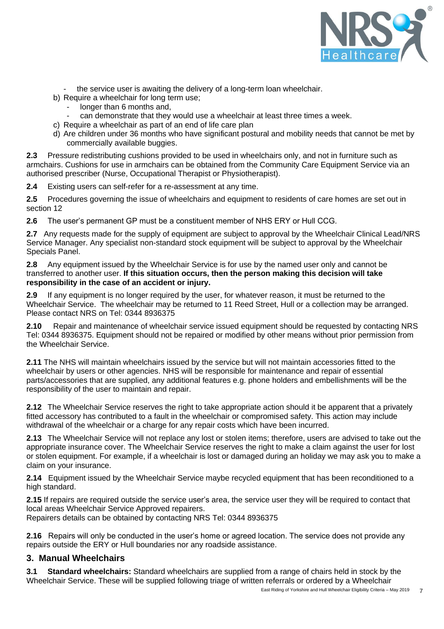

- the service user is awaiting the delivery of a long-term loan wheelchair.
- b) Require a wheelchair for long term use:
	- longer than 6 months and,
	- can demonstrate that they would use a wheelchair at least three times a week.
- c) Require a wheelchair as part of an end of life care plan
- d) Are children under 36 months who have significant postural and mobility needs that cannot be met by commercially available buggies.

**2.3** Pressure redistributing cushions provided to be used in wheelchairs only, and not in furniture such as armchairs. Cushions for use in armchairs can be obtained from the Community Care Equipment Service via an authorised prescriber (Nurse, Occupational Therapist or Physiotherapist).

**2.4** Existing users can self-refer for a re-assessment at any time.

**2.5** Procedures governing the issue of wheelchairs and equipment to residents of care homes are set out in section 12

**2.6** The user's permanent GP must be a constituent member of NHS ERY or Hull CCG.

**2.7** Any requests made for the supply of equipment are subject to approval by the Wheelchair Clinical Lead/NRS Service Manager. Any specialist non-standard stock equipment will be subject to approval by the Wheelchair Specials Panel.

**2.8** Any equipment issued by the Wheelchair Service is for use by the named user only and cannot be transferred to another user. **If this situation occurs, then the person making this decision will take responsibility in the case of an accident or injury.**

**2.9** If any equipment is no longer required by the user, for whatever reason, it must be returned to the Wheelchair Service. The wheelchair may be returned to 11 Reed Street, Hull or a collection may be arranged. Please contact NRS on Tel: 0344 8936375

**2.10** Repair and maintenance of wheelchair service issued equipment should be requested by contacting NRS Tel: 0344 8936375. Equipment should not be repaired or modified by other means without prior permission from the Wheelchair Service.

**2.11** The NHS will maintain wheelchairs issued by the service but will not maintain accessories fitted to the wheelchair by users or other agencies. NHS will be responsible for maintenance and repair of essential parts/accessories that are supplied, any additional features e.g. phone holders and embellishments will be the responsibility of the user to maintain and repair.

**2.12** The Wheelchair Service reserves the right to take appropriate action should it be apparent that a privately fitted accessory has contributed to a fault in the wheelchair or compromised safety. This action may include withdrawal of the wheelchair or a charge for any repair costs which have been incurred.

**2.13** The Wheelchair Service will not replace any lost or stolen items; therefore, users are advised to take out the appropriate insurance cover. The Wheelchair Service reserves the right to make a claim against the user for lost or stolen equipment. For example, if a wheelchair is lost or damaged during an holiday we may ask you to make a claim on your insurance.

**2.14** Equipment issued by the Wheelchair Service maybe recycled equipment that has been reconditioned to a high standard.

**2.15** If repairs are required outside the service user's area, the service user they will be required to contact that local areas Wheelchair Service Approved repairers.

Repairers details can be obtained by contacting NRS Tel: 0344 8936375

**2.16** Repairs will only be conducted in the user's home or agreed location. The service does not provide any repairs outside the ERY or Hull boundaries nor any roadside assistance.

# **3. Manual Wheelchairs**

**3.1 Standard wheelchairs:** Standard wheelchairs are supplied from a range of chairs held in stock by the Wheelchair Service. These will be supplied following triage of written referrals or ordered by a Wheelchair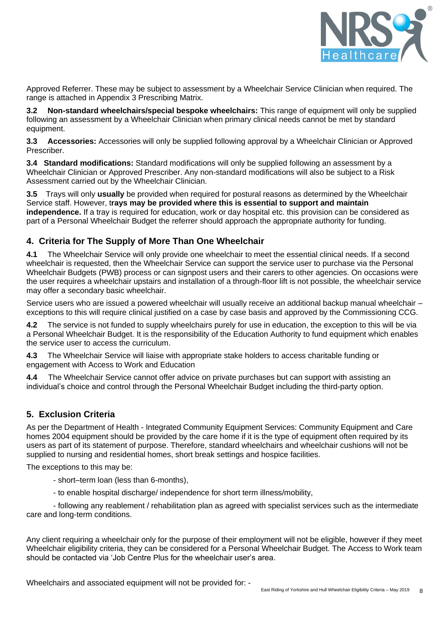

Approved Referrer. These may be subject to assessment by a Wheelchair Service Clinician when required. The range is attached in Appendix 3 Prescribing Matrix.

**3.2 Non-standard wheelchairs/special bespoke wheelchairs:** This range of equipment will only be supplied following an assessment by a Wheelchair Clinician when primary clinical needs cannot be met by standard equipment.

**3.3 Accessories:** Accessories will only be supplied following approval by a Wheelchair Clinician or Approved Prescriber.

**3.4 Standard modifications:** Standard modifications will only be supplied following an assessment by a Wheelchair Clinician or Approved Prescriber. Any non-standard modifications will also be subject to a Risk Assessment carried out by the Wheelchair Clinician.

**3.5** Trays will only **usually** be provided when required for postural reasons as determined by the Wheelchair Service staff. However, t**rays may be provided where this is essential to support and maintain independence.** If a tray is required for education, work or day hospital etc. this provision can be considered as part of a Personal Wheelchair Budget the referrer should approach the appropriate authority for funding.

# **4. Criteria for The Supply of More Than One Wheelchair**

**4.1** The Wheelchair Service will only provide one wheelchair to meet the essential clinical needs. If a second wheelchair is requested, then the Wheelchair Service can support the service user to purchase via the Personal Wheelchair Budgets (PWB) process or can signpost users and their carers to other agencies. On occasions were the user requires a wheelchair upstairs and installation of a through-floor lift is not possible, the wheelchair service may offer a secondary basic wheelchair.

Service users who are issued a powered wheelchair will usually receive an additional backup manual wheelchair – exceptions to this will require clinical justified on a case by case basis and approved by the Commissioning CCG.

**4.2** The service is not funded to supply wheelchairs purely for use in education, the exception to this will be via a Personal Wheelchair Budget. It is the responsibility of the Education Authority to fund equipment which enables the service user to access the curriculum.

**4.3** The Wheelchair Service will liaise with appropriate stake holders to access charitable funding or engagement with Access to Work and Education

**4.4** The Wheelchair Service cannot offer advice on private purchases but can support with assisting an individual's choice and control through the Personal Wheelchair Budget including the third-party option.

# **5. Exclusion Criteria**

As per the Department of Health - Integrated Community Equipment Services: Community Equipment and Care homes 2004 equipment should be provided by the care home if it is the type of equipment often required by its users as part of its statement of purpose. Therefore, standard wheelchairs and wheelchair cushions will not be supplied to nursing and residential homes, short break settings and hospice facilities.

The exceptions to this may be:

- short–term loan (less than 6-months),
- to enable hospital discharge/ independence for short term illness/mobility,

- following any reablement / rehabilitation plan as agreed with specialist services such as the intermediate care and long-term conditions.

Any client requiring a wheelchair only for the purpose of their employment will not be eligible, however if they meet Wheelchair eligibility criteria, they can be considered for a Personal Wheelchair Budget. The Access to Work team should be contacted via 'Job Centre Plus for the wheelchair user's area.

Wheelchairs and associated equipment will not be provided for: -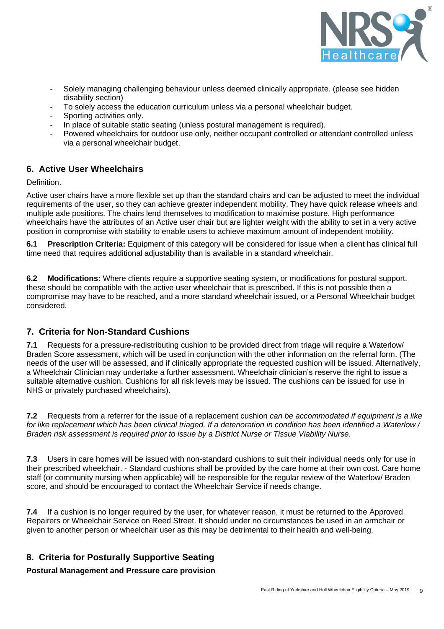

- Solely managing challenging behaviour unless deemed clinically appropriate. (please see hidden disability section)
- To solely access the education curriculum unless via a personal wheelchair budget.
- Sporting activities only.
- In place of suitable static seating (unless postural management is required).
- Powered wheelchairs for outdoor use only, neither occupant controlled or attendant controlled unless via a personal wheelchair budget.

# **6. Active User Wheelchairs**

Definition.

Active user chairs have a more flexible set up than the standard chairs and can be adjusted to meet the individual requirements of the user, so they can achieve greater independent mobility. They have quick release wheels and multiple axle positions. The chairs lend themselves to modification to maximise posture. High performance wheelchairs have the attributes of an Active user chair but are lighter weight with the ability to set in a very active position in compromise with stability to enable users to achieve maximum amount of independent mobility.

**6.1 Prescription Criteria:** Equipment of this category will be considered for issue when a client has clinical full time need that requires additional adjustability than is available in a standard wheelchair.

**6.2 Modifications:** Where clients require a supportive seating system, or modifications for postural support, these should be compatible with the active user wheelchair that is prescribed. If this is not possible then a compromise may have to be reached, and a more standard wheelchair issued, or a Personal Wheelchair budget considered.

# **7. Criteria for Non-Standard Cushions**

**7.1** Requests for a pressure-redistributing cushion to be provided direct from triage will require a Waterlow/ Braden Score assessment, which will be used in conjunction with the other information on the referral form. (The needs of the user will be assessed, and if clinically appropriate the requested cushion will be issued. Alternatively, a Wheelchair Clinician may undertake a further assessment. Wheelchair clinician's reserve the right to issue a suitable alternative cushion. Cushions for all risk levels may be issued. The cushions can be issued for use in NHS or privately purchased wheelchairs).

**7.2** Requests from a referrer for the issue of a replacement cushion *can be accommodated if equipment is a like for like replacement which has been clinical triaged. If a deterioration in condition has been identified a Waterlow / Braden risk assessment is required prior to issue by a District Nurse or Tissue Viability Nurse.* 

**7.3** Users in care homes will be issued with non-standard cushions to suit their individual needs only for use in their prescribed wheelchair. - Standard cushions shall be provided by the care home at their own cost. Care home staff (or community nursing when applicable) will be responsible for the regular review of the Waterlow/ Braden score, and should be encouraged to contact the Wheelchair Service if needs change.

**7.4** If a cushion is no longer required by the user, for whatever reason, it must be returned to the Approved Repairers or Wheelchair Service on Reed Street. It should under no circumstances be used in an armchair or given to another person or wheelchair user as this may be detrimental to their health and well-being.

# **8. Criteria for Posturally Supportive Seating**

**Postural Management and Pressure care provision**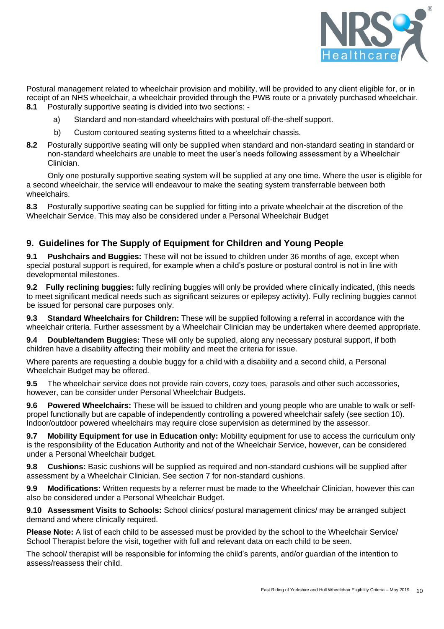

Postural management related to wheelchair provision and mobility, will be provided to any client eligible for, or in receipt of an NHS wheelchair, a wheelchair provided through the PWB route or a privately purchased wheelchair. **8.1** Posturally supportive seating is divided into two sections: -

- a) Standard and non-standard wheelchairs with postural off-the-shelf support.
- b) Custom contoured seating systems fitted to a wheelchair chassis.
- **8.2** Posturally supportive seating will only be supplied when standard and non-standard seating in standard or non-standard wheelchairs are unable to meet the user's needs following assessment by a Wheelchair Clinician.

Only one posturally supportive seating system will be supplied at any one time. Where the user is eligible for a second wheelchair, the service will endeavour to make the seating system transferrable between both wheelchairs.

**8.3** Posturally supportive seating can be supplied for fitting into a private wheelchair at the discretion of the Wheelchair Service. This may also be considered under a Personal Wheelchair Budget

# **9. Guidelines for The Supply of Equipment for Children and Young People**

**9.1 Pushchairs and Buggies:** These will not be issued to children under 36 months of age, except when special postural support is required, for example when a child's posture or postural control is not in line with developmental milestones.

**9.2 Fully reclining buggies:** fully reclining buggies will only be provided where clinically indicated, (this needs to meet significant medical needs such as significant seizures or epilepsy activity). Fully reclining buggies cannot be issued for personal care purposes only.

**9.3 Standard Wheelchairs for Children:** These will be supplied following a referral in accordance with the wheelchair criteria. Further assessment by a Wheelchair Clinician may be undertaken where deemed appropriate.

**9.4 Double/tandem Buggies:** These will only be supplied, along any necessary postural support, if both children have a disability affecting their mobility and meet the criteria for issue.

Where parents are requesting a double buggy for a child with a disability and a second child, a Personal Wheelchair Budget may be offered.

**9.5** The wheelchair service does not provide rain covers, cozy toes, parasols and other such accessories, however, can be consider under Personal Wheelchair Budgets.

**9.6 Powered Wheelchairs:** These will be issued to children and young people who are unable to walk or selfpropel functionally but are capable of independently controlling a powered wheelchair safely (see section 10). Indoor/outdoor powered wheelchairs may require close supervision as determined by the assessor.

**9.7 Mobility Equipment for use in Education only:** Mobility equipment for use to access the curriculum only is the responsibility of the Education Authority and not of the Wheelchair Service, however, can be considered under a Personal Wheelchair budget.

**9.8 Cushions:** Basic cushions will be supplied as required and non-standard cushions will be supplied after assessment by a Wheelchair Clinician. See section 7 for non-standard cushions.

**9.9 Modifications:** Written requests by a referrer must be made to the Wheelchair Clinician, however this can also be considered under a Personal Wheelchair Budget.

9.10 **Assessment Visits to Schools:** School clinics/ postural management clinics/ may be arranged subject demand and where clinically required.

**Please Note:** A list of each child to be assessed must be provided by the school to the Wheelchair Service/ School Therapist before the visit, together with full and relevant data on each child to be seen.

The school/ therapist will be responsible for informing the child's parents, and/or guardian of the intention to assess/reassess their child.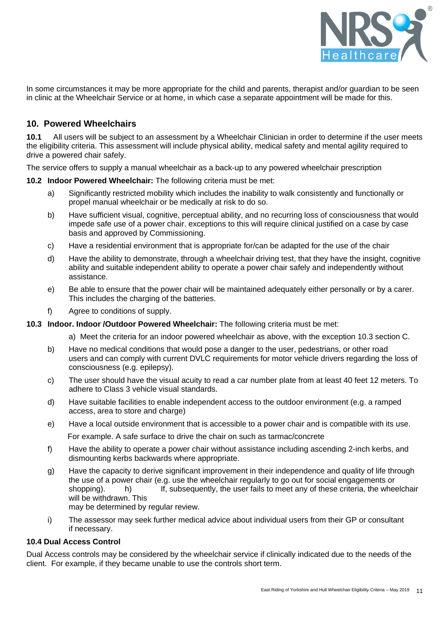

In some circumstances it may be more appropriate for the child and parents, therapist and/or guardian to be seen in clinic at the Wheelchair Service or at home, in which case a separate appointment will be made for this.

# **10. Powered Wheelchairs**

**10.1** All users will be subject to an assessment by a Wheelchair Clinician in order to determine if the user meets the eligibility criteria. This assessment will include physical ability, medical safety and mental agility required to drive a powered chair safely.

The service offers to supply a manual wheelchair as a back-up to any powered wheelchair prescription

### **10.2 Indoor Powered Wheelchair:** The following criteria must be met:

- a) Significantly restricted mobility which includes the inability to walk consistently and functionally or propel manual wheelchair or be medically at risk to do so.
- b) Have sufficient visual, cognitive, perceptual ability, and no recurring loss of consciousness that would impede safe use of a power chair. exceptions to this will require clinical justified on a case by case basis and approved by Commissioning.
- c) Have a residential environment that is appropriate for/can be adapted for the use of the chair
- d) Have the ability to demonstrate, through a wheelchair driving test, that they have the insight, cognitive ability and suitable independent ability to operate a power chair safely and independently without assistance.
- e) Be able to ensure that the power chair will be maintained adequately either personally or by a carer. This includes the charging of the batteries.
- f) Agree to conditions of supply.
- **10.3 Indoor. Indoor /Outdoor Powered Wheelchair:** The following criteria must be met:
	- a) Meet the criteria for an indoor powered wheelchair as above, with the exception 10.3 section C.
	- b) Have no medical conditions that would pose a danger to the user, pedestrians, or other road users and can comply with current DVLC requirements for motor vehicle drivers regarding the loss of consciousness (e.g. epilepsy).
	- c) The user should have the visual acuity to read a car number plate from at least 40 feet 12 meters. To adhere to Class 3 vehicle visual standards.
	- d) Have suitable facilities to enable independent access to the outdoor environment (e.g. a ramped access, area to store and charge)
	- e) Have a local outside environment that is accessible to a power chair and is compatible with its use. For example. A safe surface to drive the chair on such as tarmac/concrete
	- f) Have the ability to operate a power chair without assistance including ascending 2-inch kerbs, and dismounting kerbs backwards where appropriate.
	- g) Have the capacity to derive significant improvement in their independence and quality of life through the use of a power chair (e.g. use the wheelchair regularly to go out for social engagements or shopping). **h**) If, subsequently, the user fails to meet any of these criteria, the wheelchair will be withdrawn. This may be determined by regular review.
	- i) The assessor may seek further medical advice about individual users from their GP or consultant if necessary.

# **10.4 Dual Access Control**

Dual Access controls may be considered by the wheelchair service if clinically indicated due to the needs of the client. For example, if they became unable to use the controls short term.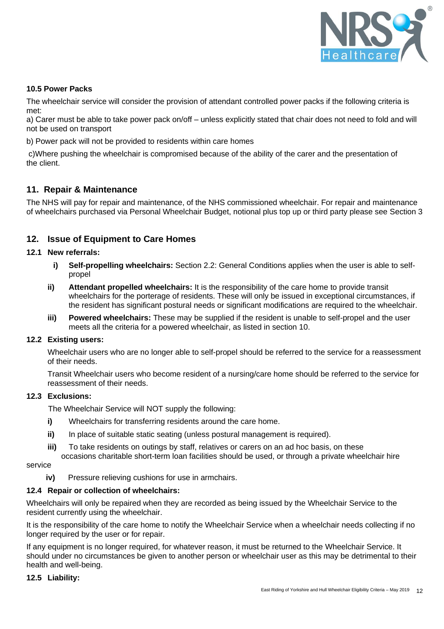

# **10.5 Power Packs**

The wheelchair service will consider the provision of attendant controlled power packs if the following criteria is met:

a) Carer must be able to take power pack on/off – unless explicitly stated that chair does not need to fold and will not be used on transport

b) Power pack will not be provided to residents within care homes

c)Where pushing the wheelchair is compromised because of the ability of the carer and the presentation of the client.

# **11. Repair & Maintenance**

The NHS will pay for repair and maintenance, of the NHS commissioned wheelchair. For repair and maintenance of wheelchairs purchased via Personal Wheelchair Budget, notional plus top up or third party please see Section 3

# **12. Issue of Equipment to Care Homes**

# **12.1 New referrals:**

- **i) Self-propelling wheelchairs:** Section 2.2: General Conditions applies when the user is able to selfpropel
- **ii) Attendant propelled wheelchairs:** It is the responsibility of the care home to provide transit wheelchairs for the porterage of residents. These will only be issued in exceptional circumstances, if the resident has significant postural needs or significant modifications are required to the wheelchair.
- **iii) Powered wheelchairs:** These may be supplied if the resident is unable to self-propel and the user meets all the criteria for a powered wheelchair, as listed in section 10.

# **12.2 Existing users:**

Wheelchair users who are no longer able to self-propel should be referred to the service for a reassessment of their needs.

Transit Wheelchair users who become resident of a nursing/care home should be referred to the service for reassessment of their needs.

# **12.3 Exclusions:**

The Wheelchair Service will NOT supply the following:

- **i)** Wheelchairs for transferring residents around the care home.
- ii) In place of suitable static seating (unless postural management is required).
- **iii)** To take residents on outings by staff, relatives or carers on an ad hoc basis, on these occasions charitable short-term loan facilities should be used, or through a private wheelchair hire

service

**iv)** Pressure relieving cushions for use in armchairs.

# **12.4 Repair or collection of wheelchairs:**

Wheelchairs will only be repaired when they are recorded as being issued by the Wheelchair Service to the resident currently using the wheelchair.

It is the responsibility of the care home to notify the Wheelchair Service when a wheelchair needs collecting if no longer required by the user or for repair.

If any equipment is no longer required, for whatever reason, it must be returned to the Wheelchair Service. It should under no circumstances be given to another person or wheelchair user as this may be detrimental to their health and well-being.

# **12.5 Liability:**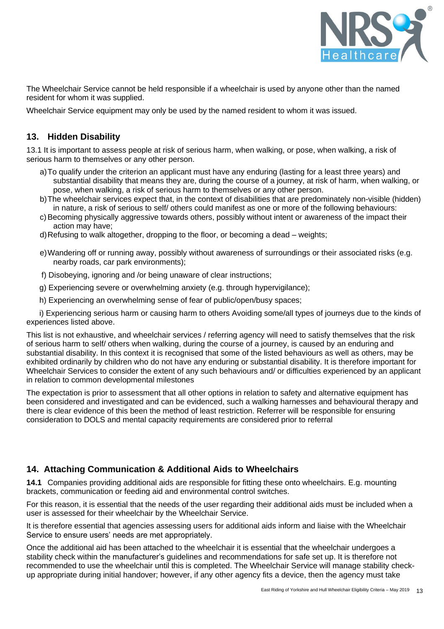

The Wheelchair Service cannot be held responsible if a wheelchair is used by anyone other than the named resident for whom it was supplied.

Wheelchair Service equipment may only be used by the named resident to whom it was issued.

# **13. Hidden Disability**

13.1 It is important to assess people at risk of serious harm, when walking, or pose, when walking, a risk of serious harm to themselves or any other person.

- a)To qualify under the criterion an applicant must have any enduring (lasting for a least three years) and substantial disability that means they are, during the course of a journey, at risk of harm, when walking, or pose, when walking, a risk of serious harm to themselves or any other person.
- b)The wheelchair services expect that, in the context of disabilities that are predominately non-visible (hidden) in nature, a risk of serious to self/ others could manifest as one or more of the following behaviours:
- c) Becoming physically aggressive towards others, possibly without intent or awareness of the impact their action may have;
- d)Refusing to walk altogether, dropping to the floor, or becoming a dead weights;
- e)Wandering off or running away, possibly without awareness of surroundings or their associated risks (e.g. nearby roads, car park environments);
- f) Disobeying, ignoring and /or being unaware of clear instructions;
- g) Experiencing severe or overwhelming anxiety (e.g. through hypervigilance);
- h) Experiencing an overwhelming sense of fear of public/open/busy spaces;

 i) Experiencing serious harm or causing harm to others Avoiding some/all types of journeys due to the kinds of experiences listed above.

This list is not exhaustive, and wheelchair services / referring agency will need to satisfy themselves that the risk of serious harm to self/ others when walking, during the course of a journey, is caused by an enduring and substantial disability. In this context it is recognised that some of the listed behaviours as well as others, may be exhibited ordinarily by children who do not have any enduring or substantial disability. It is therefore important for Wheelchair Services to consider the extent of any such behaviours and/ or difficulties experienced by an applicant in relation to common developmental milestones

The expectation is prior to assessment that all other options in relation to safety and alternative equipment has been considered and investigated and can be evidenced, such a walking harnesses and behavioural therapy and there is clear evidence of this been the method of least restriction. Referrer will be responsible for ensuring consideration to DOLS and mental capacity requirements are considered prior to referral

# **14. Attaching Communication & Additional Aids to Wheelchairs**

**14.1** Companies providing additional aids are responsible for fitting these onto wheelchairs. E.g. mounting brackets, communication or feeding aid and environmental control switches.

For this reason, it is essential that the needs of the user regarding their additional aids must be included when a user is assessed for their wheelchair by the Wheelchair Service.

It is therefore essential that agencies assessing users for additional aids inform and liaise with the Wheelchair Service to ensure users' needs are met appropriately.

Once the additional aid has been attached to the wheelchair it is essential that the wheelchair undergoes a stability check within the manufacturer's guidelines and recommendations for safe set up. It is therefore not recommended to use the wheelchair until this is completed. The Wheelchair Service will manage stability checkup appropriate during initial handover; however, if any other agency fits a device, then the agency must take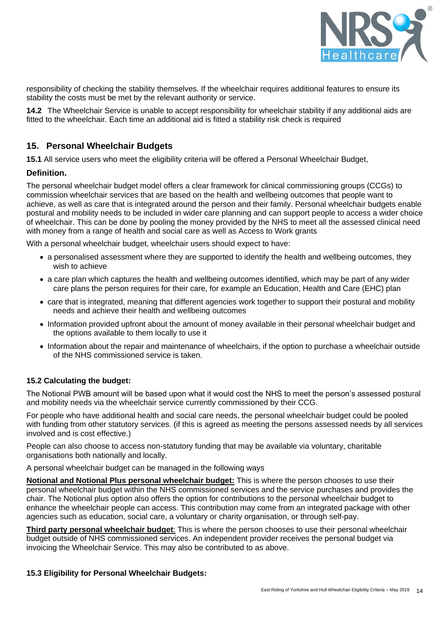

responsibility of checking the stability themselves. If the wheelchair requires additional features to ensure its stability the costs must be met by the relevant authority or service.

**14.2** The Wheelchair Service is unable to accept responsibility for wheelchair stability if any additional aids are fitted to the wheelchair. Each time an additional aid is fitted a stability risk check is required

# **15. Personal Wheelchair Budgets**

**15.1** All service users who meet the eligibility criteria will be offered a Personal Wheelchair Budget,

# **Definition.**

The personal wheelchair budget model offers a clear framework for clinical commissioning groups (CCGs) to commission wheelchair services that are based on the health and wellbeing outcomes that people want to achieve, as well as care that is integrated around the person and their family. Personal wheelchair budgets enable postural and mobility needs to be included in wider care planning and can support people to access a wider choice of wheelchair. This can be done by pooling the money provided by the NHS to meet all the assessed clinical need with money from a range of health and social care as well as Access to Work grants

With a personal wheelchair budget, wheelchair users should expect to have:

- a personalised assessment where they are supported to identify the health and wellbeing outcomes, they wish to achieve
- a care plan which captures the health and wellbeing outcomes identified, which may be part of any wider care plans the person requires for their care, for example an Education, Health and Care (EHC) plan
- care that is integrated, meaning that different agencies work together to support their postural and mobility needs and achieve their health and wellbeing outcomes
- Information provided upfront about the amount of money available in their personal wheelchair budget and the options available to them locally to use it
- Information about the repair and maintenance of wheelchairs, if the option to purchase a wheelchair outside of the NHS commissioned service is taken.

# **15.2 Calculating the budget:**

The Notional PWB amount will be based upon what it would cost the NHS to meet the person's assessed postural and mobility needs via the wheelchair service currently commissioned by their CCG.

For people who have additional health and social care needs, the personal wheelchair budget could be pooled with funding from other statutory services. (if this is agreed as meeting the persons assessed needs by all services involved and is cost effective.)

People can also choose to access non-statutory funding that may be available via voluntary, charitable organisations both nationally and locally.

A personal wheelchair budget can be managed in the following ways

**Notional and Notional Plus personal wheelchair budget:** This is where the person chooses to use their personal wheelchair budget within the NHS commissioned services and the service purchases and provides the chair. The Notional plus option also offers the option for contributions to the personal wheelchair budget to enhance the wheelchair people can access. This contribution may come from an integrated package with other agencies such as education, social care, a voluntary or charity organisation, or through self-pay.

**Third party personal wheelchair budget**: This is where the person chooses to use their personal wheelchair budget outside of NHS commissioned services. An independent provider receives the personal budget via invoicing the Wheelchair Service. This may also be contributed to as above.

# **15.3 Eligibility for Personal Wheelchair Budgets:**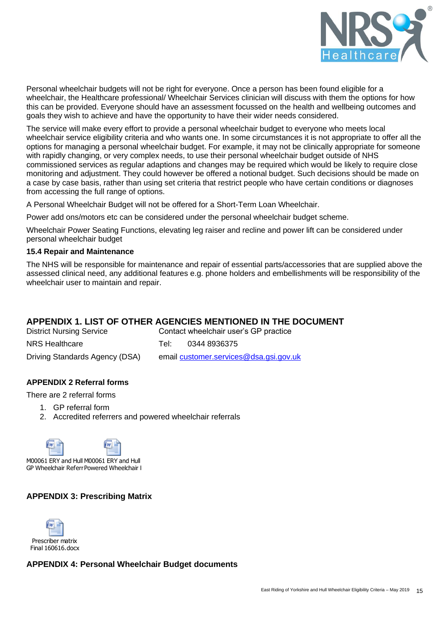

Personal wheelchair budgets will not be right for everyone. Once a person has been found eligible for a wheelchair, the Healthcare professional/ Wheelchair Services clinician will discuss with them the options for how this can be provided. Everyone should have an assessment focussed on the health and wellbeing outcomes and goals they wish to achieve and have the opportunity to have their wider needs considered.

The service will make every effort to provide a personal wheelchair budget to everyone who meets local wheelchair service eligibility criteria and who wants one. In some circumstances it is not appropriate to offer all the options for managing a personal wheelchair budget. For example, it may not be clinically appropriate for someone with rapidly changing, or very complex needs, to use their personal wheelchair budget outside of NHS commissioned services as regular adaptions and changes may be required which would be likely to require close monitoring and adjustment. They could however be offered a notional budget. Such decisions should be made on a case by case basis, rather than using set criteria that restrict people who have certain conditions or diagnoses from accessing the full range of options.

A Personal Wheelchair Budget will not be offered for a Short-Term Loan Wheelchair.

Power add ons/motors etc can be considered under the personal wheelchair budget scheme.

Wheelchair Power Seating Functions, elevating leg raiser and recline and power lift can be considered under personal wheelchair budget

# **15.4 Repair and Maintenance**

The NHS will be responsible for maintenance and repair of essential parts/accessories that are supplied above the assessed clinical need, any additional features e.g. phone holders and embellishments will be responsibility of the wheelchair user to maintain and repair.

# **APPENDIX 1. LIST OF OTHER AGENCIES MENTIONED IN THE DOCUMENT**

| <b>District Nursing Service</b> | Contact wheelchair user's GP practice  |              |  |
|---------------------------------|----------------------------------------|--------------|--|
| NRS Healthcare                  | Tel'                                   | 0344 8936375 |  |
| Driving Standards Agency (DSA)  | email customer.services@dsa.gsi.gov.uk |              |  |

# **APPENDIX 2 Referral forms**

There are 2 referral forms

- 1. GP referral form
- 2. Accredited referrers and powered wheelchair referrals





M00061 ERY and Hull M00061 ERY and Hull GP Wheelchair Referr Powered Wheelchair I

# **APPENDIX 3: Prescribing Matrix**



# **APPENDIX 4: Personal Wheelchair Budget documents**